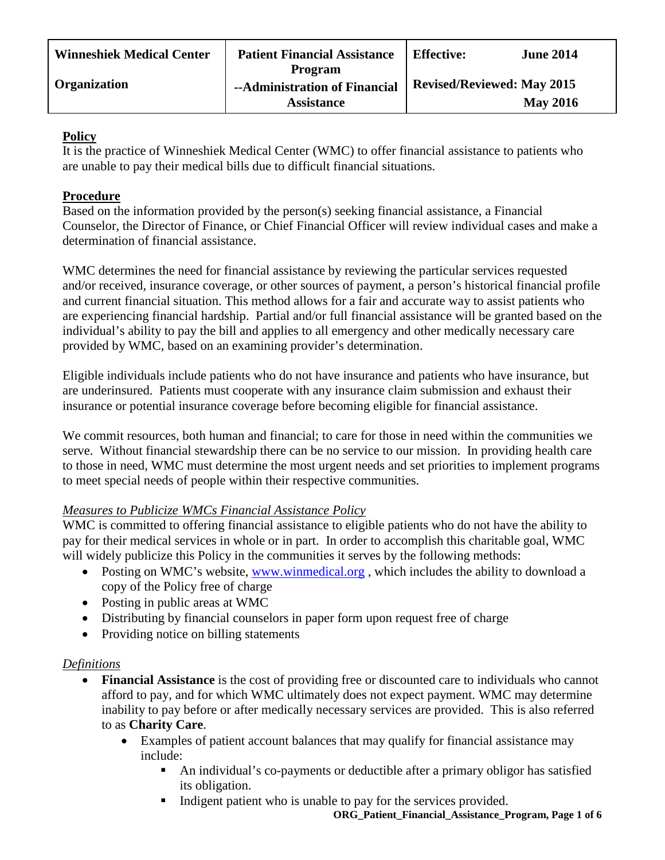| <b>Winneshiek Medical Center</b> | <b>Patient Financial Assistance</b>                                  | <b>Effective:</b>                 | <b>June 2014</b> |
|----------------------------------|----------------------------------------------------------------------|-----------------------------------|------------------|
| <b>Organization</b>              | <b>Program</b><br>--Administration of Financial<br><b>Assistance</b> | <b>Revised/Reviewed: May 2015</b> | <b>May 2016</b>  |

## **Policy**

It is the practice of Winneshiek Medical Center (WMC) to offer financial assistance to patients who are unable to pay their medical bills due to difficult financial situations.

# **Procedure**

Based on the information provided by the person(s) seeking financial assistance, a Financial Counselor, the Director of Finance, or Chief Financial Officer will review individual cases and make a determination of financial assistance.

WMC determines the need for financial assistance by reviewing the particular services requested and/or received, insurance coverage, or other sources of payment, a person's historical financial profile and current financial situation. This method allows for a fair and accurate way to assist patients who are experiencing financial hardship. Partial and/or full financial assistance will be granted based on the individual's ability to pay the bill and applies to all emergency and other medically necessary care provided by WMC, based on an examining provider's determination.

Eligible individuals include patients who do not have insurance and patients who have insurance, but are underinsured. Patients must cooperate with any insurance claim submission and exhaust their insurance or potential insurance coverage before becoming eligible for financial assistance.

We commit resources, both human and financial; to care for those in need within the communities we serve. Without financial stewardship there can be no service to our mission. In providing health care to those in need, WMC must determine the most urgent needs and set priorities to implement programs to meet special needs of people within their respective communities.

# *Measures to Publicize WMCs Financial Assistance Policy*

WMC is committed to offering financial assistance to eligible patients who do not have the ability to pay for their medical services in whole or in part. In order to accomplish this charitable goal, WMC will widely publicize this Policy in the communities it serves by the following methods:

- Posting on WMC's website, [www.winmedical.org](http://www.winmedical.org/), which includes the ability to download a copy of the Policy free of charge
- Posting in public areas at WMC
- Distributing by financial counselors in paper form upon request free of charge
- Providing notice on billing statements

## *Definitions*

- **Financial Assistance** is the cost of providing free or discounted care to individuals who cannot afford to pay, and for which WMC ultimately does not expect payment. WMC may determine inability to pay before or after medically necessary services are provided. This is also referred to as **Charity Care**.
	- Examples of patient account balances that may qualify for financial assistance may include:
		- An individual's co-payments or deductible after a primary obligor has satisfied its obligation.
		- Indigent patient who is unable to pay for the services provided.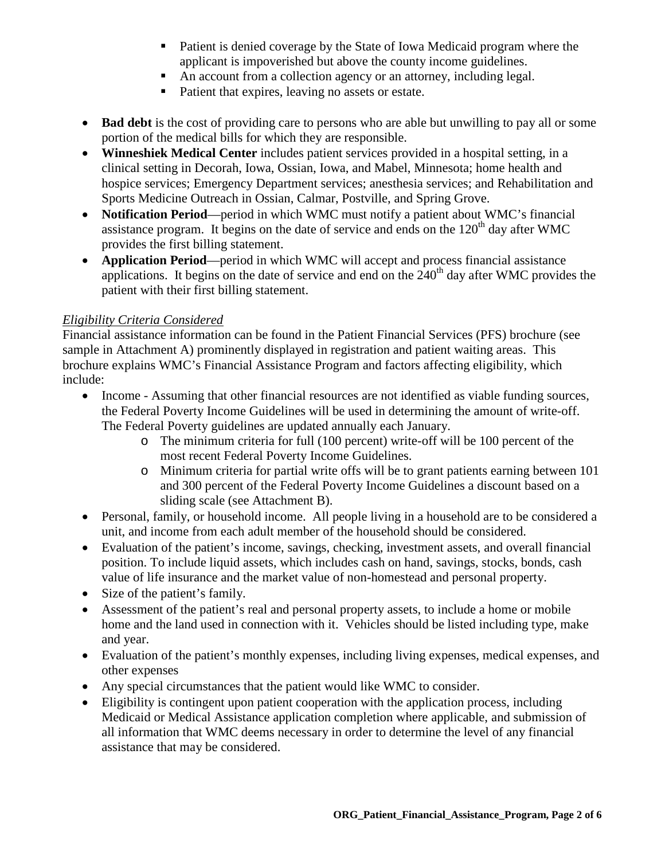- Patient is denied coverage by the State of Iowa Medicaid program where the applicant is impoverished but above the county income guidelines.
- An account from a collection agency or an attorney, including legal.
- Patient that expires, leaving no assets or estate.
- **Bad debt** is the cost of providing care to persons who are able but unwilling to pay all or some portion of the medical bills for which they are responsible.
- **Winneshiek Medical Center** includes patient services provided in a hospital setting, in a clinical setting in Decorah, Iowa, Ossian, Iowa, and Mabel, Minnesota; home health and hospice services; Emergency Department services; anesthesia services; and Rehabilitation and Sports Medicine Outreach in Ossian, Calmar, Postville, and Spring Grove.
- **Notification Period**—period in which WMC must notify a patient about WMC's financial assistance program. It begins on the date of service and ends on the  $120<sup>th</sup>$  day after WMC provides the first billing statement.
- **Application Period**—period in which WMC will accept and process financial assistance applications. It begins on the date of service and end on the  $240<sup>th</sup>$  day after WMC provides the patient with their first billing statement.

## *Eligibility Criteria Considered*

Financial assistance information can be found in the Patient Financial Services (PFS) brochure (see sample in Attachment A) prominently displayed in registration and patient waiting areas. This brochure explains WMC's Financial Assistance Program and factors affecting eligibility, which include:

- Income Assuming that other financial resources are not identified as viable funding sources, the Federal Poverty Income Guidelines will be used in determining the amount of write-off. The Federal Poverty guidelines are updated annually each January.
	- o The minimum criteria for full (100 percent) write-off will be 100 percent of the most recent Federal Poverty Income Guidelines.
	- o Minimum criteria for partial write offs will be to grant patients earning between 101 and 300 percent of the Federal Poverty Income Guidelines a discount based on a sliding scale (see Attachment B).
- Personal, family, or household income. All people living in a household are to be considered a unit, and income from each adult member of the household should be considered.
- Evaluation of the patient's income, savings, checking, investment assets, and overall financial position. To include liquid assets, which includes cash on hand, savings, stocks, bonds, cash value of life insurance and the market value of non-homestead and personal property.
- Size of the patient's family.
- Assessment of the patient's real and personal property assets, to include a home or mobile home and the land used in connection with it. Vehicles should be listed including type, make and year.
- Evaluation of the patient's monthly expenses, including living expenses, medical expenses, and other expenses
- Any special circumstances that the patient would like WMC to consider.
- Eligibility is contingent upon patient cooperation with the application process, including Medicaid or Medical Assistance application completion where applicable, and submission of all information that WMC deems necessary in order to determine the level of any financial assistance that may be considered.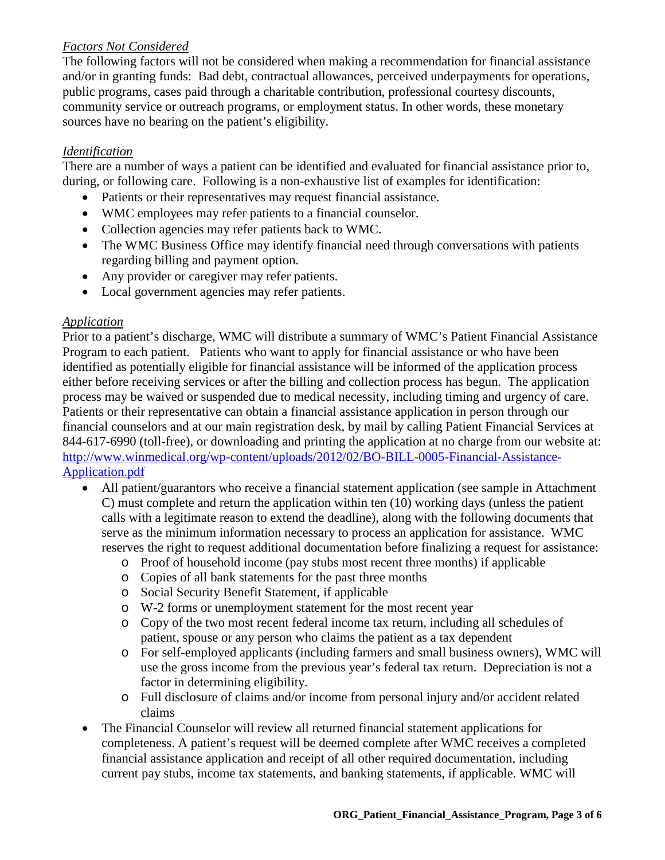## *Factors Not Considered*

The following factors will not be considered when making a recommendation for financial assistance and/or in granting funds: Bad debt, contractual allowances, perceived underpayments for operations, public programs, cases paid through a charitable contribution, professional courtesy discounts, community service or outreach programs, or employment status. In other words, these monetary sources have no bearing on the patient's eligibility.

## *Identification*

There are a number of ways a patient can be identified and evaluated for financial assistance prior to, during, or following care. Following is a non-exhaustive list of examples for identification:

- Patients or their representatives may request financial assistance.
- WMC employees may refer patients to a financial counselor.
- Collection agencies may refer patients back to WMC.
- The WMC Business Office may identify financial need through conversations with patients regarding billing and payment option.
- Any provider or caregiver may refer patients.
- Local government agencies may refer patients.

## *Application*

Prior to a patient's discharge, WMC will distribute a summary of WMC's Patient Financial Assistance Program to each patient. Patients who want to apply for financial assistance or who have been identified as potentially eligible for financial assistance will be informed of the application process either before receiving services or after the billing and collection process has begun. The application process may be waived or suspended due to medical necessity, including timing and urgency of care. Patients or their representative can obtain a financial assistance application in person through our financial counselors and at our main registration desk, by mail by calling Patient Financial Services at 844-617-6990 (toll-free), or downloading and printing the application at no charge from our website at: [http://www.winmedical.org/wp-content/uploads/2012/02/BO-BILL-0005-Financial-Assistance-](http://www.winmedical.org/wp-content/uploads/2012/02/BO-BILL-0005-Financial-Assistance-Application.pdf)[Application.pdf](http://www.winmedical.org/wp-content/uploads/2012/02/BO-BILL-0005-Financial-Assistance-Application.pdf)

- All patient/guarantors who receive a financial statement application (see sample in Attachment C) must complete and return the application within ten (10) working days (unless the patient calls with a legitimate reason to extend the deadline), along with the following documents that serve as the minimum information necessary to process an application for assistance. WMC reserves the right to request additional documentation before finalizing a request for assistance:
	- o Proof of household income (pay stubs most recent three months) if applicable
	- o Copies of all bank statements for the past three months
	- o Social Security Benefit Statement, if applicable
	- o W-2 forms or unemployment statement for the most recent year
	- o Copy of the two most recent federal income tax return, including all schedules of patient, spouse or any person who claims the patient as a tax dependent
	- o For self-employed applicants (including farmers and small business owners), WMC will use the gross income from the previous year's federal tax return. Depreciation is not a factor in determining eligibility.
	- o Full disclosure of claims and/or income from personal injury and/or accident related claims
- The Financial Counselor will review all returned financial statement applications for completeness. A patient's request will be deemed complete after WMC receives a completed financial assistance application and receipt of all other required documentation, including current pay stubs, income tax statements, and banking statements, if applicable. WMC will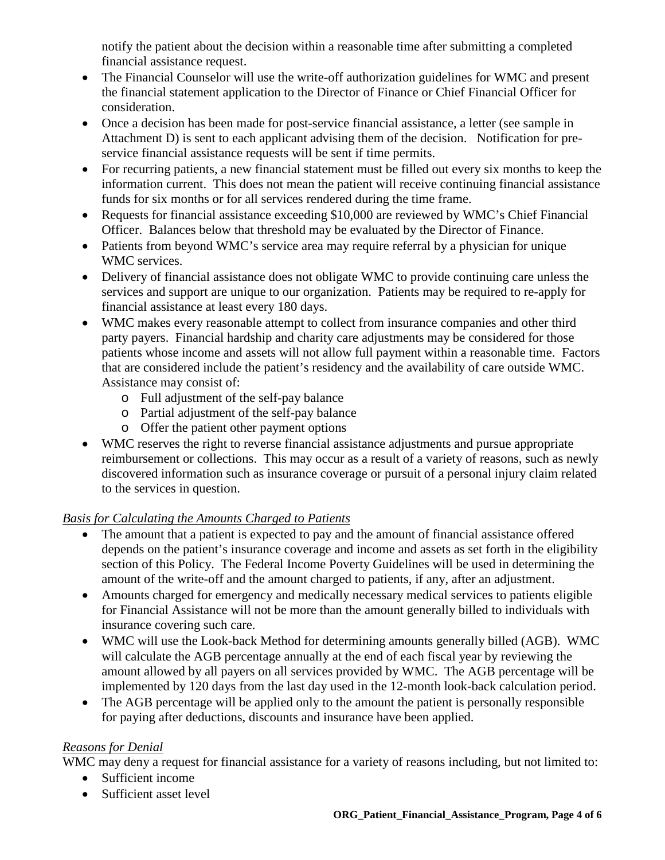notify the patient about the decision within a reasonable time after submitting a completed financial assistance request.

- The Financial Counselor will use the write-off authorization guidelines for WMC and present the financial statement application to the Director of Finance or Chief Financial Officer for consideration.
- Once a decision has been made for post-service financial assistance, a letter (see sample in Attachment D) is sent to each applicant advising them of the decision. Notification for preservice financial assistance requests will be sent if time permits.
- For recurring patients, a new financial statement must be filled out every six months to keep the information current. This does not mean the patient will receive continuing financial assistance funds for six months or for all services rendered during the time frame.
- Requests for financial assistance exceeding \$10,000 are reviewed by WMC's Chief Financial Officer. Balances below that threshold may be evaluated by the Director of Finance.
- Patients from beyond WMC's service area may require referral by a physician for unique WMC services.
- Delivery of financial assistance does not obligate WMC to provide continuing care unless the services and support are unique to our organization. Patients may be required to re-apply for financial assistance at least every 180 days.
- WMC makes every reasonable attempt to collect from insurance companies and other third party payers. Financial hardship and charity care adjustments may be considered for those patients whose income and assets will not allow full payment within a reasonable time. Factors that are considered include the patient's residency and the availability of care outside WMC. Assistance may consist of:
	- o Full adjustment of the self-pay balance
	- o Partial adjustment of the self-pay balance
	- o Offer the patient other payment options
- WMC reserves the right to reverse financial assistance adjustments and pursue appropriate reimbursement or collections. This may occur as a result of a variety of reasons, such as newly discovered information such as insurance coverage or pursuit of a personal injury claim related to the services in question.

# *Basis for Calculating the Amounts Charged to Patients*

- The amount that a patient is expected to pay and the amount of financial assistance offered depends on the patient's insurance coverage and income and assets as set forth in the eligibility section of this Policy. The Federal Income Poverty Guidelines will be used in determining the amount of the write-off and the amount charged to patients, if any, after an adjustment.
- Amounts charged for emergency and medically necessary medical services to patients eligible for Financial Assistance will not be more than the amount generally billed to individuals with insurance covering such care.
- WMC will use the Look-back Method for determining amounts generally billed (AGB). WMC will calculate the AGB percentage annually at the end of each fiscal year by reviewing the amount allowed by all payers on all services provided by WMC. The AGB percentage will be implemented by 120 days from the last day used in the 12-month look-back calculation period.
- The AGB percentage will be applied only to the amount the patient is personally responsible for paying after deductions, discounts and insurance have been applied.

# *Reasons for Denial*

WMC may deny a request for financial assistance for a variety of reasons including, but not limited to:

- Sufficient income
- Sufficient asset level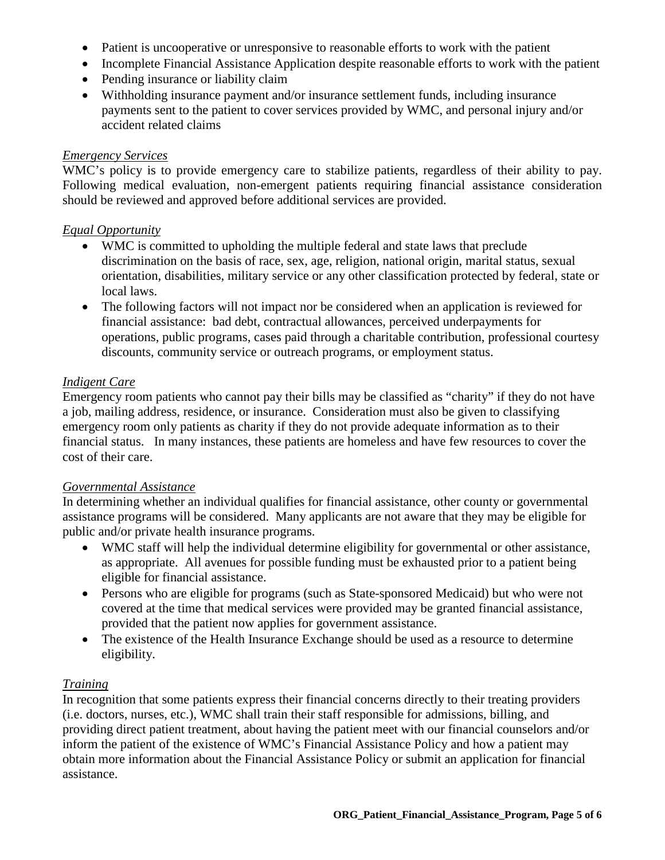- Patient is uncooperative or unresponsive to reasonable efforts to work with the patient
- Incomplete Financial Assistance Application despite reasonable efforts to work with the patient
- Pending insurance or liability claim
- Withholding insurance payment and/or insurance settlement funds, including insurance payments sent to the patient to cover services provided by WMC, and personal injury and/or accident related claims

#### *Emergency Services*

WMC's policy is to provide emergency care to stabilize patients, regardless of their ability to pay. Following medical evaluation, non-emergent patients requiring financial assistance consideration should be reviewed and approved before additional services are provided.

#### *Equal Opportunity*

- WMC is committed to upholding the multiple federal and state laws that preclude discrimination on the basis of race, sex, age, religion, national origin, marital status, sexual orientation, disabilities, military service or any other classification protected by federal, state or local laws.
- The following factors will not impact nor be considered when an application is reviewed for financial assistance: bad debt, contractual allowances, perceived underpayments for operations, public programs, cases paid through a charitable contribution, professional courtesy discounts, community service or outreach programs, or employment status.

### *Indigent Care*

Emergency room patients who cannot pay their bills may be classified as "charity" if they do not have a job, mailing address, residence, or insurance. Consideration must also be given to classifying emergency room only patients as charity if they do not provide adequate information as to their financial status. In many instances, these patients are homeless and have few resources to cover the cost of their care.

### *Governmental Assistance*

In determining whether an individual qualifies for financial assistance, other county or governmental assistance programs will be considered. Many applicants are not aware that they may be eligible for public and/or private health insurance programs.

- WMC staff will help the individual determine eligibility for governmental or other assistance, as appropriate. All avenues for possible funding must be exhausted prior to a patient being eligible for financial assistance.
- Persons who are eligible for programs (such as State-sponsored Medicaid) but who were not covered at the time that medical services were provided may be granted financial assistance, provided that the patient now applies for government assistance.
- The existence of the Health Insurance Exchange should be used as a resource to determine eligibility.

### *Training*

In recognition that some patients express their financial concerns directly to their treating providers (i.e. doctors, nurses, etc.), WMC shall train their staff responsible for admissions, billing, and providing direct patient treatment, about having the patient meet with our financial counselors and/or inform the patient of the existence of WMC's Financial Assistance Policy and how a patient may obtain more information about the Financial Assistance Policy or submit an application for financial assistance.